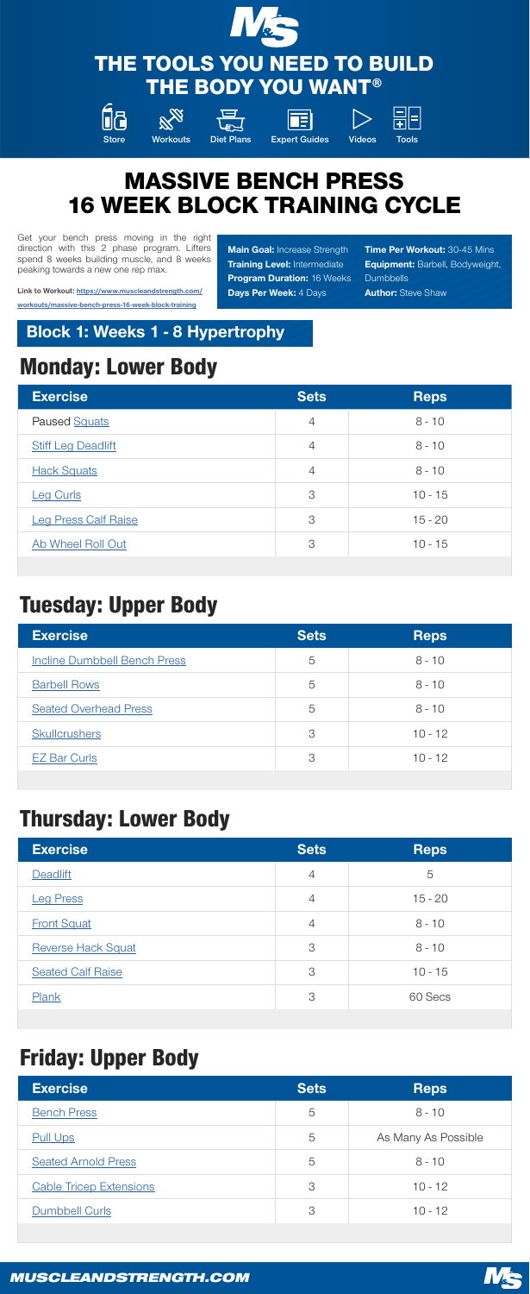| <b>Exercise</b><br><b>Sets</b> | <b>Reps</b> |
|--------------------------------|-------------|
| Paused Squats                  | $8 - 10$    |

| <b>Stiff Leg Deadlift</b><br>4   |           |
|----------------------------------|-----------|
| <b>Hack Squats</b><br>4          | $8 - 10$  |
| 3<br><b>Leg Curls</b>            | $10 - 15$ |
| <b>Leg Press Calf Raise</b><br>3 | $15 - 20$ |
| Ab Wheel Roll Out<br>3           | $10 - 15$ |

## Tuesday: Upper Body

| <b>Exercise</b>                     | <b>Sets</b> | <b>Reps</b> |
|-------------------------------------|-------------|-------------|
| <b>Incline Dumbbell Bench Press</b> | 5           | $8 - 10$    |
| <b>Barbell Rows</b>                 | 5           | $8 - 10$    |
| <b>Seated Overhead Press</b>        | 5           | $8 - 10$    |
| <b>Skullcrushers</b>                | 3           | $10 - 12$   |
| <b>EZ Bar Curls</b>                 | 3           | $10 - 12$   |

## Thursday: Lower Body

| <b>Exercise</b>           | <b>Sets</b>    | <b>Reps</b> |
|---------------------------|----------------|-------------|
| Deadlift                  | $\overline{4}$ | 5           |
| <b>Leg Press</b>          | $\overline{4}$ | $15 - 20$   |
| <b>Front Squat</b>        | $\overline{4}$ | $8 - 10$    |
| <b>Reverse Hack Squat</b> | 3              | $8 - 10$    |
| <b>Seated Calf Raise</b>  | 3              | $10 - 15$   |
| Plank                     | 3              | 60 Secs     |

# Friday: Upper Body

| <b>Sets</b> | <b>Reps</b>         |
|-------------|---------------------|
| 5           | $8 - 10$            |
| 5           | As Many As Possible |
| 5           | $8 - 10$            |
| 3           | $10 - 12$           |
| 3           | $10 - 12$           |
|             |                     |







## THE TOOLS YOU NEED TO BUILD THE BODY YOU WANT®













# MASSIVE BENCH PRESS 16 WEEK BLOCK TRAINING CYCLE

Get your bench press moving in the right direction with this 2 phase program. Lifters spend 8 weeks building muscle, and 8 weeks peaking towards a new one rep max.

Link to Workout: [https://www.muscleandstrength.com/](https://www.muscleandstrength.com/workouts/massive-bench-press-16-week-block-training) [workouts/massive-bench-press-16-week-block-training](https://www.muscleandstrength.com/workouts/massive-bench-press-16-week-block-training)

**Main Goal: Increase Strength Training Level: Intermediate** Program Duration: 16 Weeks Days Per Week: 4 Days

**Time Per Workout: 30-45 Mins Equipment: Barbell, Bodyweight, Dumbbells Author: Steve Shaw** 

#### Block 1: Weeks 1 - 8 Hypertrophy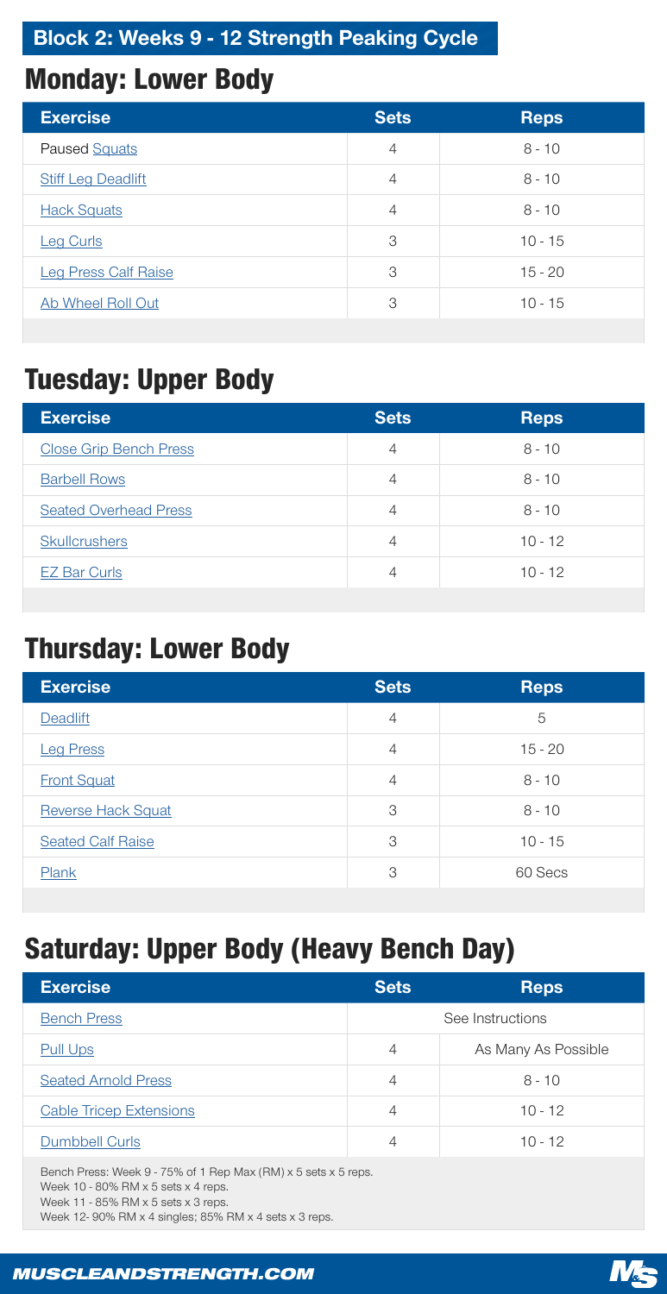| <b>Exercise</b>             | <b>Sets</b>    | <b>Reps</b> |
|-----------------------------|----------------|-------------|
| <b>Paused Squats</b>        | $\overline{4}$ | $8 - 10$    |
| <b>Stiff Leg Deadlift</b>   | $\overline{4}$ | $8 - 10$    |
| <b>Hack Squats</b>          | $\overline{4}$ | $8 - 10$    |
| <b>Leg Curls</b>            | 3              | $10 - 15$   |
| <b>Leg Press Calf Raise</b> | 3              | $15 - 20$   |
| Ab Wheel Roll Out           | 3              | $10 - 15$   |

# Tuesday: Upper Body

| <b>Exercise</b>               | <b>Sets</b> | <b>Reps</b> |
|-------------------------------|-------------|-------------|
| <b>Close Grip Bench Press</b> | 4           | $8 - 10$    |
| <b>Barbell Rows</b>           | 4           | $8 - 10$    |
| <b>Seated Overhead Press</b>  | 4           | $8 - 10$    |
| <b>Skullcrushers</b>          | 4           | $10 - 12$   |

## Thursday: Lower Body

| <b>Exercise</b>           | <b>Sets</b>    | <b>Reps</b> |
|---------------------------|----------------|-------------|
| Deadlift                  | $\overline{4}$ | 5           |
| <b>Leg Press</b>          | $\overline{4}$ | $15 - 20$   |
| <b>Front Squat</b>        | $\overline{4}$ | $8 - 10$    |
| <b>Reverse Hack Squat</b> | 3              | $8 - 10$    |
| <b>Seated Calf Raise</b>  | 3              | $10 - 15$   |
| Plank                     | 3              | 60 Secs     |
|                           |                |             |

# Saturday: Upper Body (Heavy Bench Day)

| <b>Exercise</b>                | <b>Sets</b>      | <b>Reps</b>         |
|--------------------------------|------------------|---------------------|
| <b>Bench Press</b>             | See Instructions |                     |
| <b>Pull Ups</b>                | $\overline{4}$   | As Many As Possible |
| <b>Seated Arnold Press</b>     | $\overline{4}$   | $8 - 10$            |
| <b>Cable Tricep Extensions</b> | $\overline{4}$   | $10 - 12$           |
| <b>Dumbbell Curls</b>          | $\overline{4}$   | $10 - 12$           |

Bench Press: Week 9 - 75% of 1 Rep Max (RM) x 5 sets x 5 reps. Week 10 - 80% RM  $\times$  5 sets  $\times$  4 reps. Week 11 - 85% RM  $\times$  5 sets  $\times$  3 reps. Week 12- 90% RM x 4 singles; 85% RM x 4 sets x 3 reps.

#### *MUSCLEANDSTRENGTH.COM*



### Block 2: Weeks 9 - 12 Strength Peaking Cycle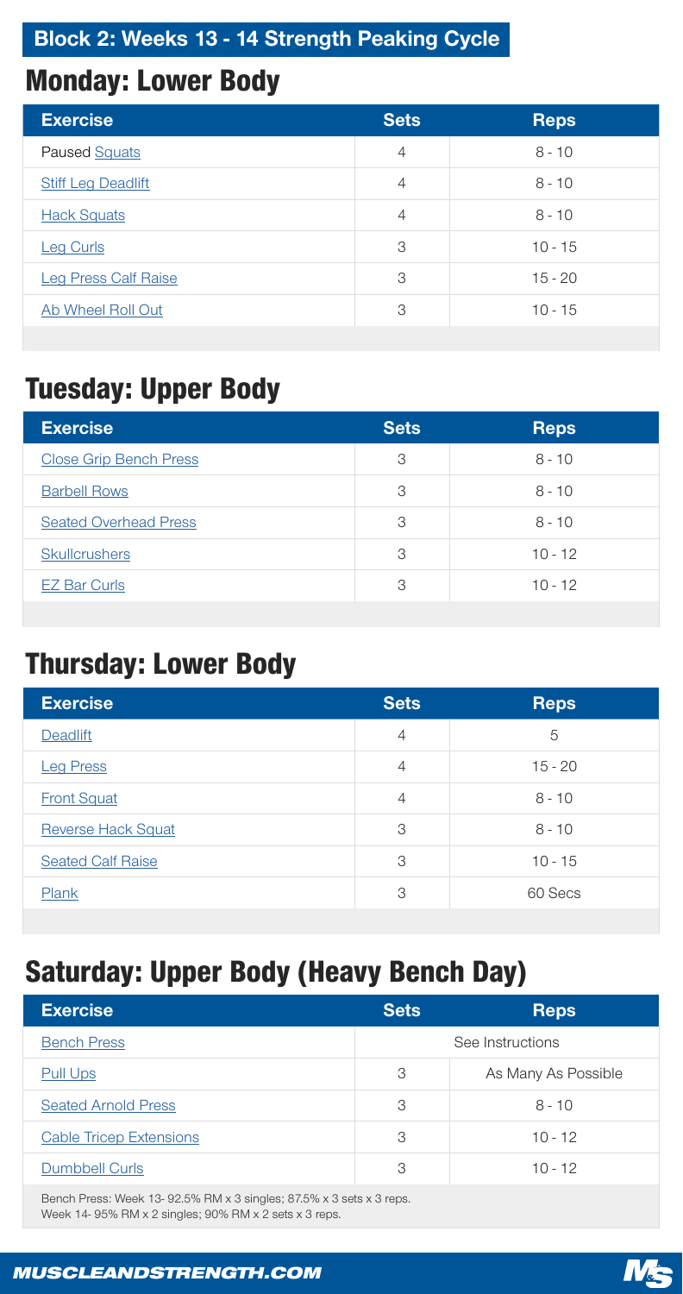| <b>Exercise</b>             | <b>Sets</b>    | <b>Reps</b> |
|-----------------------------|----------------|-------------|
| <b>Paused Squats</b>        | $\overline{4}$ | $8 - 10$    |
| <b>Stiff Leg Deadlift</b>   | $\overline{4}$ | $8 - 10$    |
| <b>Hack Squats</b>          | $\overline{4}$ | $8 - 10$    |
| <b>Leg Curls</b>            | 3              | $10 - 15$   |
| <b>Leg Press Calf Raise</b> | 3              | $15 - 20$   |
| Ab Wheel Roll Out           | 3              | $10 - 15$   |

# Tuesday: Upper Body

| <b>Exercise</b>               | <b>Sets</b> | <b>Reps</b> |
|-------------------------------|-------------|-------------|
| <b>Close Grip Bench Press</b> | 3           | $8 - 10$    |
| <b>Barbell Rows</b>           | 3           | $8 - 10$    |
| <b>Seated Overhead Press</b>  | 3           | $8 - 10$    |
| <b>Skullcrushers</b>          | 3           | $10 - 12$   |

## Thursday: Lower Body

| <b>Exercise</b>           | <b>Sets</b>    | <b>Reps</b> |
|---------------------------|----------------|-------------|
| <b>Deadlift</b>           | $\overline{4}$ | 5           |
| <b>Leg Press</b>          | $\overline{4}$ | $15 - 20$   |
| <b>Front Squat</b>        | $\overline{4}$ | $8 - 10$    |
| <b>Reverse Hack Squat</b> | 3              | $8 - 10$    |
| <b>Seated Calf Raise</b>  | 3              | $10 - 15$   |
| Plank                     | 3              | 60 Secs     |
|                           |                |             |

# Saturday: Upper Body (Heavy Bench Day)

| <b>Exercise</b>                | <b>Sets</b>      | <b>Reps</b>         |
|--------------------------------|------------------|---------------------|
| <b>Bench Press</b>             | See Instructions |                     |
| <b>Pull Ups</b>                | 3                | As Many As Possible |
| <b>Seated Arnold Press</b>     | 3                | $8 - 10$            |
| <b>Cable Tricep Extensions</b> | 3                | $10 - 12$           |
| <b>Dumbbell Curls</b>          | 3                | $10 - 12$           |

#### Bench Press: Week 13- 92.5% RM x 3 singles; 87.5% x 3 sets x 3 reps. Week 14- 95% RM x 2 singles; 90% RM x 2 sets x 3 reps.

#### *MUSCLEANDSTRENGTH.COM*



### Block 2: Weeks 13 - 14 Strength Peaking Cycle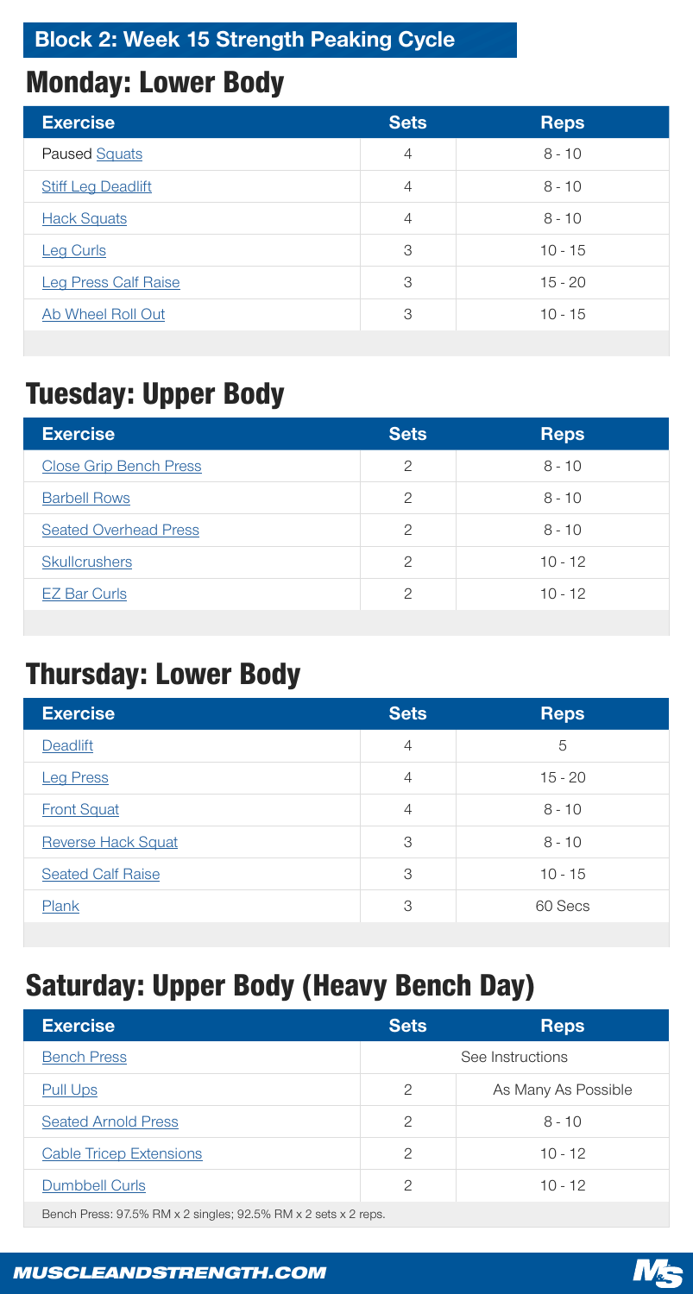| <b>Exercise</b>             | <b>Sets</b>    | <b>Reps</b> |
|-----------------------------|----------------|-------------|
| <b>Paused Squats</b>        | $\overline{4}$ | $8 - 10$    |
| <b>Stiff Leg Deadlift</b>   | $\overline{4}$ | $8 - 10$    |
| <b>Hack Squats</b>          | $\overline{4}$ | $8 - 10$    |
| <b>Leg Curls</b>            | 3              | $10 - 15$   |
| <b>Leg Press Calf Raise</b> | 3              | $15 - 20$   |
| Ab Wheel Roll Out           | 3              | $10 - 15$   |

# Tuesday: Upper Body

| <b>Exercise</b>               | <b>Sets</b>    | <b>Reps</b> |
|-------------------------------|----------------|-------------|
| <b>Close Grip Bench Press</b> | $\overline{2}$ | $8 - 10$    |
| <b>Barbell Rows</b>           | $\overline{2}$ | $8 - 10$    |
| <b>Seated Overhead Press</b>  | $\mathcal{P}$  | $8 - 10$    |
| <b>Skullcrushers</b>          | $\mathcal{D}$  | $10 - 12$   |

## Thursday: Lower Body

| <b>Exercise</b>           | <b>Sets</b>    | <b>Reps</b> |
|---------------------------|----------------|-------------|
| Deadlift                  | $\overline{4}$ | 5           |
| <b>Leg Press</b>          | $\overline{4}$ | $15 - 20$   |
| <b>Front Squat</b>        | $\overline{4}$ | $8 - 10$    |
| <b>Reverse Hack Squat</b> | 3              | $8 - 10$    |
| <b>Seated Calf Raise</b>  | 3              | $10 - 15$   |
| Plank                     | 3              | 60 Secs     |
|                           |                |             |

# Saturday: Upper Body (Heavy Bench Day)

| <b>Exercise</b>            | <b>Sets</b>    | <b>Reps</b>         |
|----------------------------|----------------|---------------------|
| <b>Bench Press</b>         |                | See Instructions    |
| <u>Pull Ups</u>            | $\overline{2}$ | As Many As Possible |
| <b>Seated Arnold Press</b> | $\overline{2}$ | $8 - 10$            |
| Cable Tricon Extensions    | $\cap$         | $1 \cap 1 \cap$     |



#### *MUSCLEANDSTRENGTH.COM*



### Block 2: Week 15 Strength Peaking Cycle